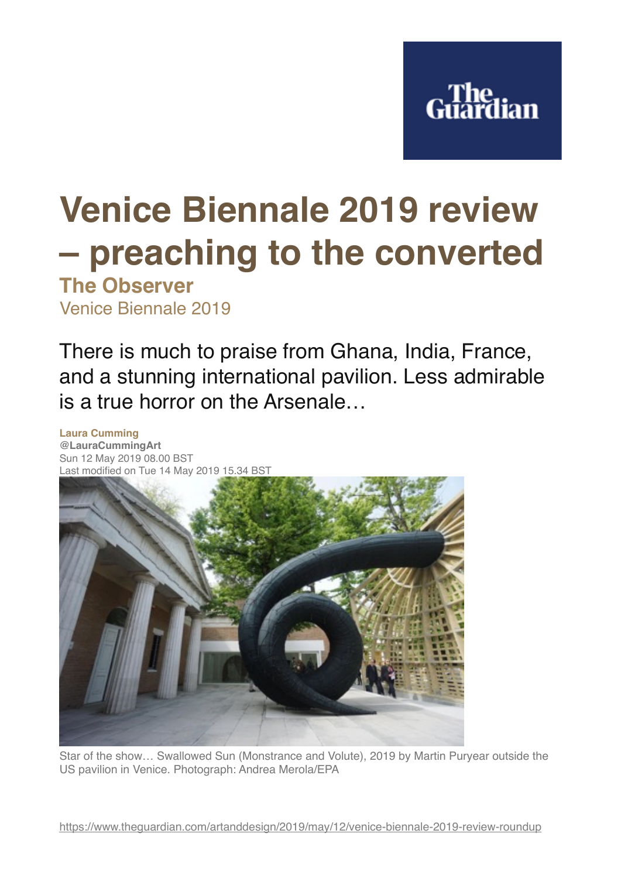# **Venice Biennale 2019 review – preaching to the converted**

**[The Observer](https://www.theguardian.com/observer)**

[Venice Biennale 2019](https://www.theguardian.com/artanddesign/venice-biennale-2019)

There is much to praise from Ghana, India, France, and a stunning international pavilion. Less admirable is a true horror on the Arsenale…

**[Laura Cumming](https://www.theguardian.com/profile/lauracumming) [@LauraCummingArt](https://twitter.com/LauraCummingArt)** Sun 12 May 2019 08.00 BST Last modified on Tue 14 May 2019 15.34 BST



Star of the show… Swallowed Sun (Monstrance and Volute), 2019 by Martin Puryear outside the US pavilion in Venice. Photograph: Andrea Merola/EPA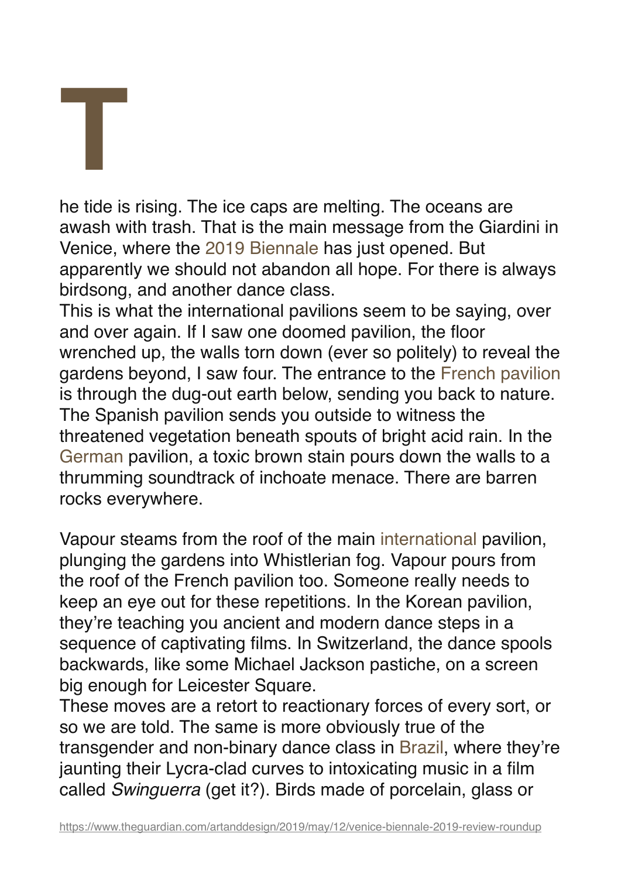he tide is rising. The ice caps are melting. The oceans are awash with trash. That is the main message from the Giardini in Venice, where the [2019 Biennale](https://www.labiennale.org/en) has just opened. But apparently we should not abandon all hope. For there is always birdsong, and another dance class.

**T**

This is what the international pavilions seem to be saying, over and over again. If I saw one doomed pavilion, the floor wrenched up, the walls torn down (ever so politely) to reveal the gardens beyond, I saw four. The entrance to the [French pavilion](https://www.if.institutfrancais.com/en/institutional-news/laure-prouvost-represents-france-at-the-58th-international-art-exhibition-la) is through the dug-out earth below, sending you back to nature. The Spanish pavilion sends you outside to witness the threatened vegetation beneath spouts of bright acid rain. In the [German](https://www.gettyimages.ae/detail/news-photo/may-2019-italy-venedig-visitors-to-the-german-pavilion-will-news-photo/1142306045) pavilion, a toxic brown stain pours down the walls to a thrumming soundtrack of inchoate menace. There are barren rocks everywhere.

Vapour steams from the roof of the main [international](https://universes.art/venice-biennale/2019/may-you-live-in-interesting-times/) pavilion, plunging the gardens into Whistlerian fog. Vapour pours from the roof of the French pavilion too. Someone really needs to keep an eye out for these repetitions. In the Korean pavilion, they're teaching you ancient and modern dance steps in a sequence of captivating films. In Switzerland, the dance spools backwards, like some Michael Jackson pastiche, on a screen big enough for Leicester Square.

These moves are a retort to reactionary forces of every sort, or so we are told. The same is more obviously true of the transgender and non-binary dance class in [Brazil](https://dutchartinstitute.eu/page/13140/so-much-well-deserved-praise-for-our-querida-alumna-b%C3%A1rbara-wagner), where they're jaunting their Lycra-clad curves to intoxicating music in a film called *Swinguerra* (get it?). Birds made of porcelain, glass or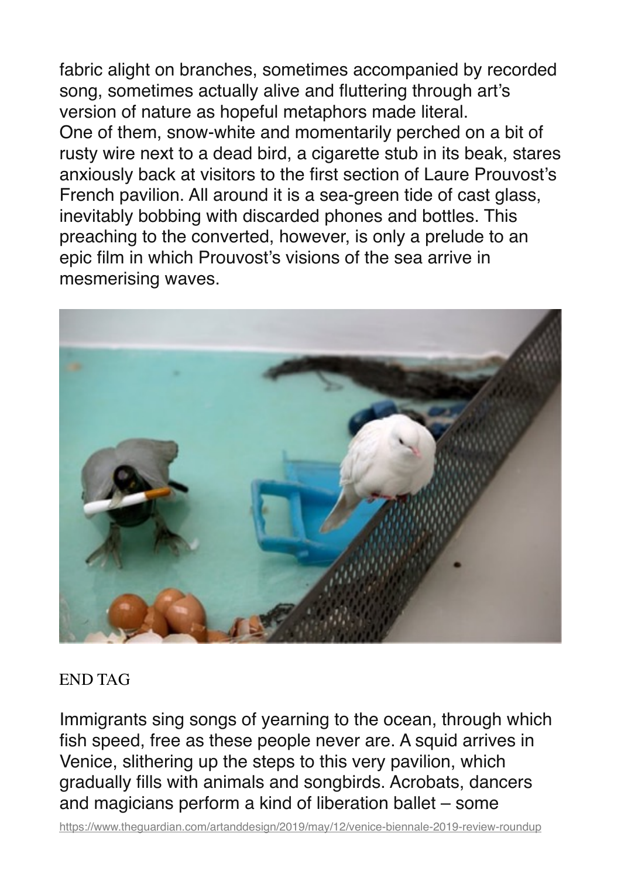fabric alight on branches, sometimes accompanied by recorded song, sometimes actually alive and fluttering through art's version of nature as hopeful metaphors made literal. One of them, snow-white and momentarily perched on a bit of rusty wire next to a dead bird, a cigarette stub in its beak, stares anxiously back at visitors to the first section of Laure Prouvost's French pavilion. All around it is a sea-green tide of cast glass, inevitably bobbing with discarded phones and bottles. This preaching to the converted, however, is only a prelude to an epic film in which Prouvost's visions of the sea arrive in mesmerising waves.



END TAG

Immigrants sing songs of yearning to the ocean, through which fish speed, free as these people never are. A squid arrives in Venice, slithering up the steps to this very pavilion, which gradually fills with animals and songbirds. Acrobats, dancers and magicians perform a kind of liberation ballet – some

<https://www.theguardian.com/artanddesign/2019/may/12/venice-biennale-2019-review-roundup>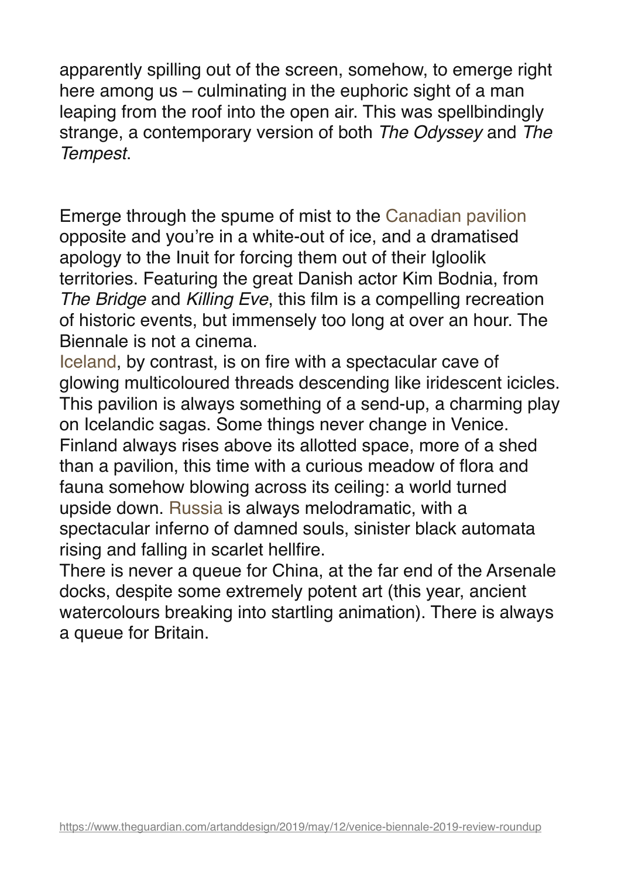apparently spilling out of the screen, somehow, to emerge right here among us – culminating in the euphoric sight of a man leaping from the roof into the open air. This was spellbindingly strange, a contemporary version of both *The Odyssey* and *The Tempest*.

Emerge through the spume of mist to the [Canadian pavilion](https://www.gallery.ca/for-professionals/media/press-releases/artist-collective-isuma-to-represent-canada-at-the-58th-0) opposite and you're in a white-out of ice, and a dramatised apology to the Inuit for forcing them out of their Igloolik territories. Featuring the great Danish actor Kim Bodnia, from *The Bridge* and *Killing Eve*, this film is a compelling recreation of historic events, but immensely too long at over an hour. The Biennale is not a cinema.

[Iceland,](http://www.artfixdaily.com/artwire/release/1337-national-pavilions-at-venice-biennale-cultivate-awareness-in-inte) by contrast, is on fire with a spectacular cave of glowing multicoloured threads descending like iridescent icicles. This pavilion is always something of a send-up, a charming play on Icelandic sagas. Some things never change in Venice. Finland always rises above its allotted space, more of a shed than a pavilion, this time with a curious meadow of flora and fauna somehow blowing across its ceiling: a world turned upside down. [Russia](http://www.epa.eu/arts-culture-and-entertainment-photos/arts-general-photos/2019-venice-biennale-photos-55177111) is always melodramatic, with a spectacular inferno of damned souls, sinister black automata rising and falling in scarlet hellfire.

There is never a queue for China, at the far end of the Arsenale docks, despite some extremely potent art (this year, ancient watercolours breaking into startling animation). There is always a queue for Britain.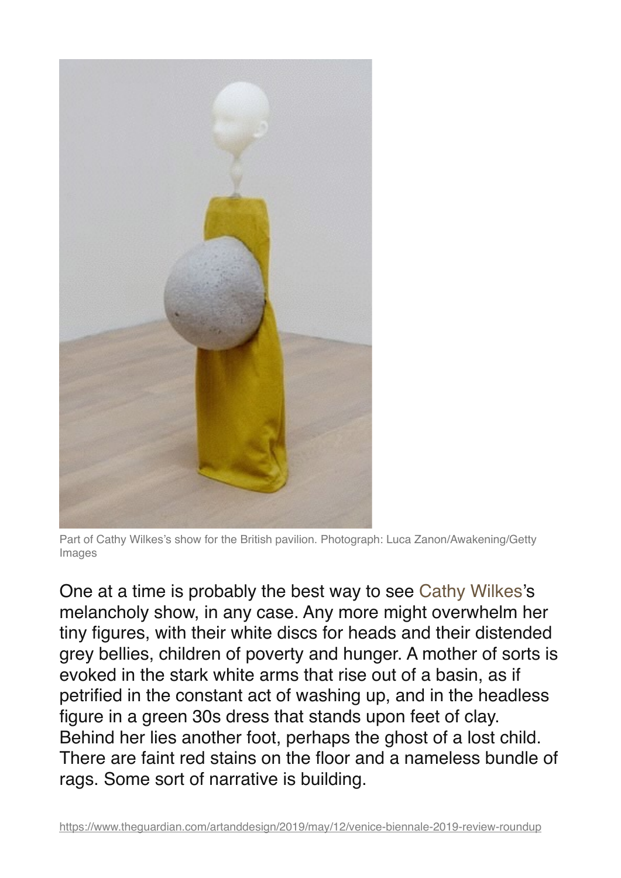

Part of Cathy Wilkes's show for the British pavilion. Photograph: Luca Zanon/Awakening/Getty Images

One at a time is probably the best way to see [Cathy Wilkes](https://www.a-n.co.uk/news/venice-biennale-2019-british-pavilion-unveils-installation-by-cathy-wilkes/%20Bar)'s melancholy show, in any case. Any more might overwhelm her tiny figures, with their white discs for heads and their distended grey bellies, children of poverty and hunger. A mother of sorts is evoked in the stark white arms that rise out of a basin, as if petrified in the constant act of washing up, and in the headless figure in a green 30s dress that stands upon feet of clay. Behind her lies another foot, perhaps the ghost of a lost child. There are faint red stains on the floor and a nameless bundle of rags. Some sort of narrative is building.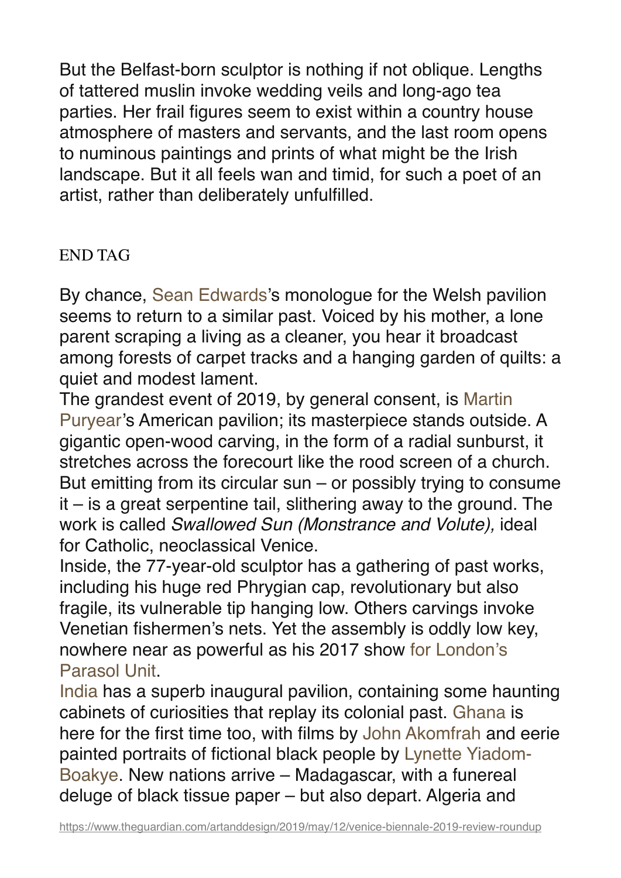But the Belfast-born sculptor is nothing if not oblique. Lengths of tattered muslin invoke wedding veils and long-ago tea parties. Her frail figures seem to exist within a country house atmosphere of masters and servants, and the last room opens to numinous paintings and prints of what might be the Irish landscape. But it all feels wan and timid, for such a poet of an artist, rather than deliberately unfulfilled.

### END TAG

By chance, [Sean Edwards](https://www.a-n.co.uk/news/a-qa-with-sean-edwards-artist-representing-wales-at-the-2019-venice-biennale/)'s monologue for the Welsh pavilion seems to return to a similar past. Voiced by his mother, a lone parent scraping a living as a cleaner, you hear it broadcast among forests of carpet tracks and a hanging garden of quilts: a quiet and modest lament.

[The grandest event of 2019, by general consent, is Martin](https://news.artnet.com/art-world/a-first-look-at-liberty-martin-puryears-exhibition-for-the-us-pavilion-at-the-venice-biennale-1538956)  Puryear's American pavilion; its masterpiece stands outside. A gigantic open-wood carving, in the form of a radial sunburst, it stretches across the forecourt like the rood screen of a church. But emitting from its circular  $sun - or$  possibly trying to consume  $it - is a great$  serpentine tail, slithering away to the ground. The work is called *Swallowed Sun (Monstrance and Volute),* ideal for Catholic, neoclassical Venice.

Inside, the 77-year-old sculptor has a gathering of past works, including his huge red Phrygian cap, revolutionary but also fragile, its vulnerable tip hanging low. Others carvings invoke Venetian fishermen's nets. Yet the assembly is oddly low key, [nowhere near as powerful as his 2017 show for London's](https://www.theguardian.com/artanddesign/2017/oct/08/one-two-three-swing-superflex-review-tate-modern-turbine-hall-martin-puryear-parasol-unit)  Parasol Unit.

[India](https://www.architecturaldigest.in/content/india-pavilion-venice-biennale-150-years-gandhi/#s-custnandalal-bose-haripura-congress-panel-courtesy-national-gallery-of-modern-art-delhi) has a superb inaugural pavilion, containing some haunting cabinets of curiosities that replay its colonial past. [Ghana](https://qz.com/africa/1614530/venice-biennale-sees-ghana-and-madagascar-pavilion-debuts/) is here for the first time too, with films by [John Akomfrah](https://www.theguardian.com/artanddesign/2017/oct/01/john-akomfrah-purple-climate-change) and eerie [painted portraits of fictional black people by Lynette Yiadom-](https://www.jackshainman.com/artists/lynette-yiadom-boakye/)Boakye. New nations arrive – Madagascar, with a funereal deluge of black tissue paper – but also depart. Algeria and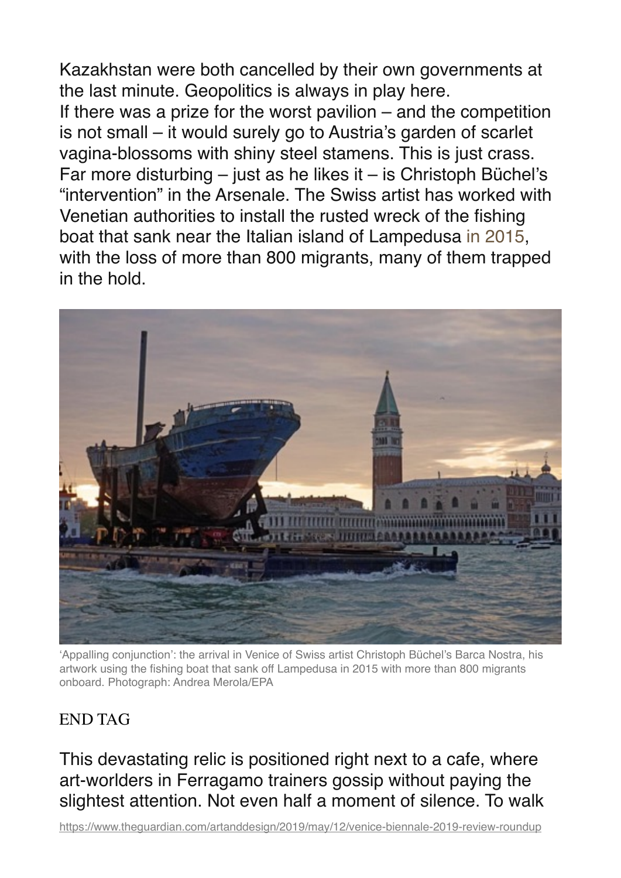Kazakhstan were both cancelled by their own governments at the last minute. Geopolitics is always in play here.

If there was a prize for the worst pavilion – and the competition is not small – it would surely go to Austria's garden of scarlet vagina-blossoms with shiny steel stamens. This is just crass. Far more disturbing – just as he likes it – is Christoph Büchel's "intervention" in the Arsenale. The Swiss artist has worked with Venetian authorities to install the rusted wreck of the fishing boat that sank near the Italian island of Lampedus[a in 2015](https://www.theguardian.com/world/2015/apr/20/italy-pm-matteo-renzi-migrant-shipwreck-crisis-srebrenica-massacre), with the loss of more than 800 migrants, many of them trapped in the hold.



'Appalling conjunction': the arrival in Venice of Swiss artist Christoph Büchel's Barca Nostra, his artwork using the fishing boat that sank off Lampedusa in 2015 with more than 800 migrants onboard. Photograph: Andrea Merola/EPA

#### END TAG

This devastating relic is positioned right next to a cafe, where art-worlders in Ferragamo trainers gossip without paying the slightest attention. Not even half a moment of silence. To walk

<https://www.theguardian.com/artanddesign/2019/may/12/venice-biennale-2019-review-roundup>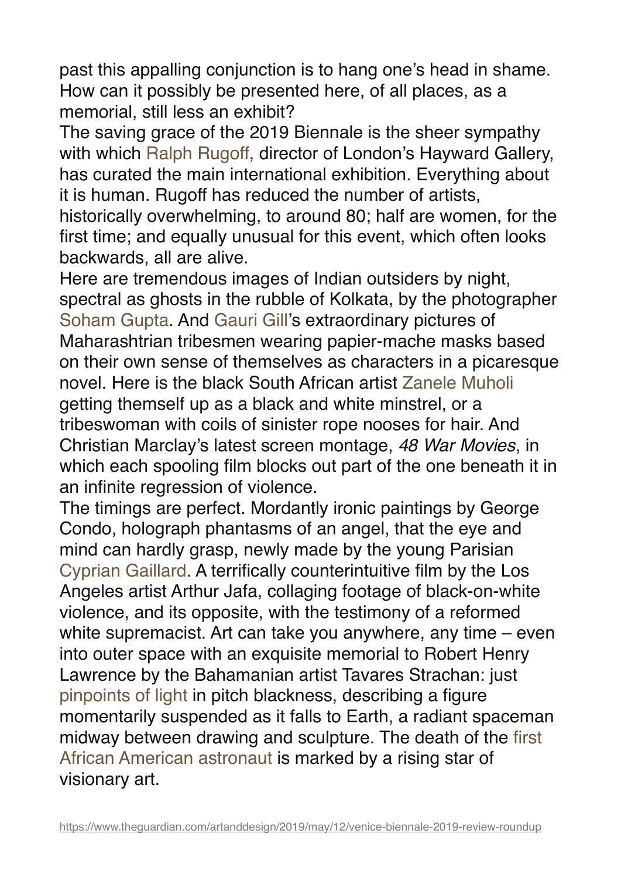past this appalling conjunction is to hang one's head in shame. How can it possibly be presented here, of all places, as a memorial, still less an exhibit?

The saving grace of the 2019 Biennale is the sheer sympathy with which [Ralph Rugoff](http://myartguides.com/posts/interviews/art-makes-us-look-at-things-in-a-different-way-an-interview-with-ralph-rugoff/), director of London's Hayward Gallery, has curated the main international exhibition. Everything about it is human. Rugoff has reduced the number of artists,

historically overwhelming, to around 80; half are women, for the first time; and equally unusual for this event, which often looks backwards, all are alive.

Here are tremendous images of Indian outsiders by night, spectral as ghosts in the rubble of Kolkata, by the photographer [Soham Gupta.](http://soham-gupta.com/) And [Gauri Gill](http://www.gaurigill.com/works.html)'s extraordinary pictures of Maharashtrian tribesmen wearing papier-mache masks based on their own sense of themselves as characters in a picaresque novel. Here is the black South African artist [Zanele Muholi](https://www.theguardian.com/artanddesign/gallery/2017/jul/14/zanele-muholimy-somnyama-ngonyama-hail-the-dark-lioness-in-pictures)  getting themself up as a black and white minstrel, or a tribeswoman with coils of sinister rope nooses for hair. And Christian Marclay's latest screen montage, *48 War Movies*, in which each spooling film blocks out part of the one beneath it in an infinite regression of violence.

The timings are perfect. Mordantly ironic paintings by George Condo, holograph phantasms of an angel, that the eye and mind can hardly grasp, newly made by the young Parisian [Cyprian Gaillard.](https://twitter.com/LauraCummingArt/status/1125828577931538433) A terrifically counterintuitive film by the Los Angeles artist Arthur Jafa, collaging footage of black-on-white violence, and its opposite, with the testimony of a reformed white supremacist. Art can take you anywhere, any time – even into outer space with an exquisite memorial to Robert Henry Lawrence by the Bahamanian artist Tavares Strachan: just [pinpoints of light](https://twitter.com/LauraCummingArt/status/1125827674377732098) in pitch blackness, describing a figure momentarily suspended as it falls to Earth, a radiant spaceman [midway between drawing and sculpture. The death of the first](https://en.wikipedia.org/wiki/Robert_Henry_Lawrence_Jr.)  African American astronaut is marked by a rising star of visionary art.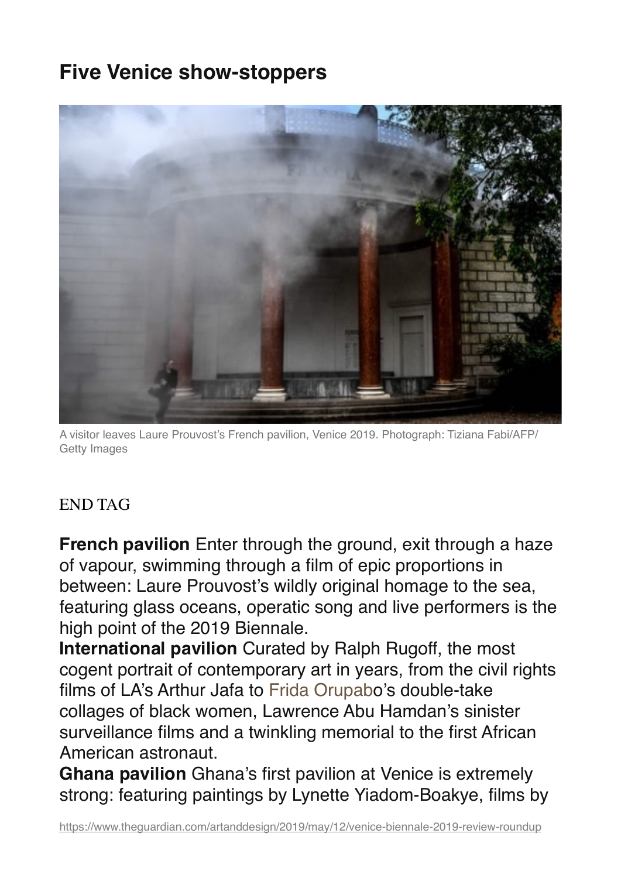## **Five Venice show-stoppers**



A visitor leaves Laure Prouvost's French pavilion, Venice 2019. Photograph: Tiziana Fabi/AFP/ Getty Images

#### END TAG

**French pavilion** Enter through the ground, exit through a haze of vapour, swimming through a film of epic proportions in between: Laure Prouvost's wildly original homage to the sea, featuring glass oceans, operatic song and live performers is the high point of the 2019 Biennale.

**International pavilion** Curated by Ralph Rugoff, the most cogent portrait of contemporary art in years, from the civil rights films of LA's Arthur Jafa to [Frida Orupabo](https://fridaorupabo.com/)'s double-take collages of black women, Lawrence Abu Hamdan's sinister surveillance films and a twinkling memorial to the first African American astronaut.

**Ghana pavilion** Ghana's first pavilion at Venice is extremely strong: featuring paintings by Lynette Yiadom-Boakye, films by